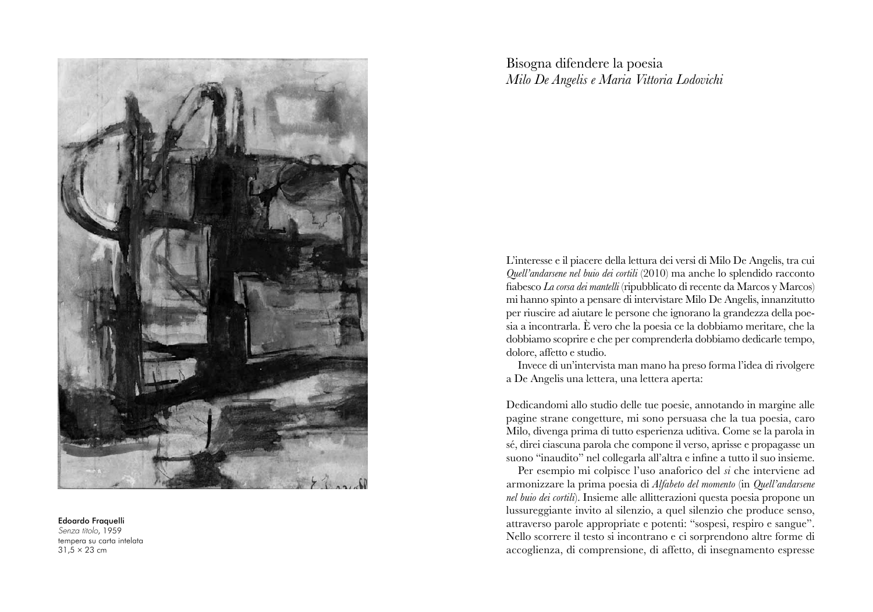

## Edoardo Fraquelli

Senza titolo , 1959 tempera su carta intelata 31,5 ÷ 23 cm

Bisogna difendere la poesia  $Milo$  *De Angelis e Maria Vittoria Lodovichi* 

L'interesse e il piacere della lettura dei versi di Milo De Angelis, tra cui Quell'andarsene nel buio dei cortili (2010) ma anche lo splendido racconto fiabesco *La corsa dei mantelli* (ripubblicato di recente da Marcos y Marcos) mi hanno spinto a pensare di intervistare Milo De Angelis, innanzitutto per riuscire ad aiutare le persone che ignorano la grandezza della poe $s$ ia a incontrarla. È vero che la poesia ce la dobbiamo meritare, che la dobbiamo scoprire e che per comprenderla dobbiamo dedicarle tempo, dolore, affetto e studio.

Invece di un'intervista man mano ha preso forma l'idea di rivolgere a De Angelis una lettera, una lettera aperta:

Dedicandomi allo studio delle tue poesie, annotando in margine alle pagine strane congetture, mi sono persuasa che la tua poesia, caro Milo, divenga prima di tutto esperienza uditiva. Come se la parola in sé, direi ciascuna parola che compone il verso, aprisse e propagasse un suono "inaudito" nel collegarla all'altra e infine a tutto il suo insieme.

Per esempio mi colpisce l'uso anaforico del *si* che interviene ad armonizzare la prima poesia di Alfabeto del momento (in Quell'andarsene nel buio dei cortili). Insieme alle allitterazioni questa poesia propone un lussureggiante invito al silenzio, a quel silenzio che produce senso, attraverso parole appropriate e potenti: "sospesi, respiro e sangue". Nello scorrere il testo si incontrano e ci sorprendono altre forme di accoglienza, di comprensione, di affetto, di insegnamento espresse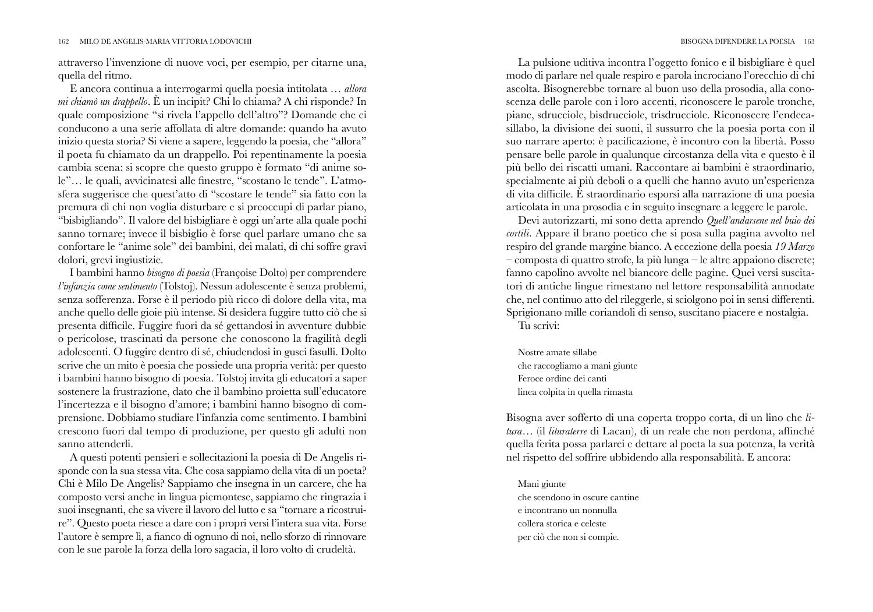attraverso l'invenzione di nuove voci, per esempio, per citarne una, quella del ritmo.

E ancora continua a interrogarmi quella poesia intitolata ... allora mi chiamò un drappello. È un incipit? Chi lo chiama? A chi risponde? In quale composizione "si rivela l'appello dell'altro"? Domande che ci conducono a una serie affollata di altre domande: quando ha avuto inizio questa storia? Si viene a sapere, leggendo la poesia, che "allora" il poeta fu chiamato da un drappello. Poi repentinamente la poesia cambia scena: si scopre che questo gruppo è formato "di anime sole"... le quali, avvicinatesi alle finestre, "scostano le tende". L'atmosfera suggerisce che quest'atto di "scostare le tende" sia fatto con la premura di chi non voglia disturbare e si preoccupi di parlar piano, "bisbigliando". Il valore del bisbigliare è oggi un'arte alla quale pochi sanno tornare; invece il bisbiglio è forse quel parlare umano che sa confortare le "anime sole" dei bambini, dei malati, di chi soffre gravi dolori, grevi ingiustizie.

I bambini hanno bisogno di poesia (Françoise Dolto) per comprendere l'infanzia come sentimento (Tolstoj). Nessun adolescente è senza problemi, senza sofferenza. Forse è il periodo più ricco di dolore della vita, ma anche quello delle gioie più intense. Si desidera fuggire tutto ciò che si presenta difficile. Fuggire fuori da sé gettandosi in avventure dubbie o pericolose, trascinati da persone che conoscono la fragilità degli adolescenti. O fuggire dentro di sé, chiudendosi in gusci fasulli. Dolto scrive che un mito è poesia che possiede una propria verità: per questo i bambini hanno bisogno di poesia. Tolstoj invita gli educatori a saper sostenere la frustrazione, dato che il bambino proietta sull'educatore l'incertezza e il bisogno d'amore; i bambini hanno bisogno di comprensione. Dobbiamo studiare l'infanzia come sentimento. I bambini crescono fuori dal tempo di produzione, per questo gli adulti non sanno attenderli.

A questi potenti pensieri e sollecitazioni la poesia di De Angelis risponde con la sua stessa vita. Che cosa sappiamo della vita di un poeta? Chi è Milo De Angelis? Sappiamo che insegna in un carcere, che ha composto versi anche in lingua piemontese, sappiamo che ringrazia i suoi insegnanti, che sa vivere il lavoro del lutto e sa "tornare a ricostruire". Questo poeta riesce a dare con i propri versi l'intera sua vita. Forse l'autore è sempre lì, a fianco di ognuno di noi, nello sforzo di rinnovare con le sue parole la forza della loro sagacia, il loro volto di crudeltà.

La pulsione uditiva incontra l'oggetto fonico e il bisbigliare è quel modo di parlare nel quale respiro e parola incrociano l'orecchio di chi ascolta. Bisognerebbe tornare al buon uso della prosodia, alla conoscenza delle parole con i loro accenti, riconoscere le parole tronche, piane, sdrucciole, bisdrucciole, trisdrucciole. Riconoscere l'endecasillabo, la divisione dei suoni, il sussurro che la poesia porta con il suo narrare aperto: è pacificazione, è incontro con la libertà. Posso pensare belle parole in qualunque circostanza della vita e questo è il più bello dei riscatti umani. Raccontare ai bambini è straordinario, specialmente ai più deboli o a quelli che hanno avuto un'esperienza di vita difficile. È straordinario esporsi alla narrazione di una poesia articolata in una prosodia e in seguito insegnare a leggere le parole.

Devi autorizzarti, mi sono detta aprendo Quell'andarsene nel buio dei cortili. Appare il brano poetico che si posa sulla pagina avvolto nel respiro del grande margine bianco. A eccezione della poesia 19 Marzo  $\sim$ composta di quattro strofe, la più lunga  $\sim$  le altre appaiono discrete; fanno capolino avvolte nel biancore delle pagine. Quei versi suscitatori di antiche lingue rimestano nel lettore responsabilità annodate che, nel continuo atto del rileggerle, si sciolgono poi in sensi differenti. Sprigionano mille coriandoli di senso, suscitano piacere e nostalgia.

Tu scrivi:

Nostre amate sillabe che raccogliamo a mani giunte Feroce ordine dei canti linea colpita in quella rimasta

Bisogna aver sofferto di una coperta troppo corta, di un lino che litura... (il lituraterre di Lacan), di un reale che non perdona, affinché quella ferita possa parlarci e dettare al poeta la sua potenza, la verità nel rispetto del soffrire ubbidendo alla responsabilità. E ancora:

Mani giunte che scendono in oscure cantine e incontrano un nonnulla collera storica e celeste per ciò che non si compie.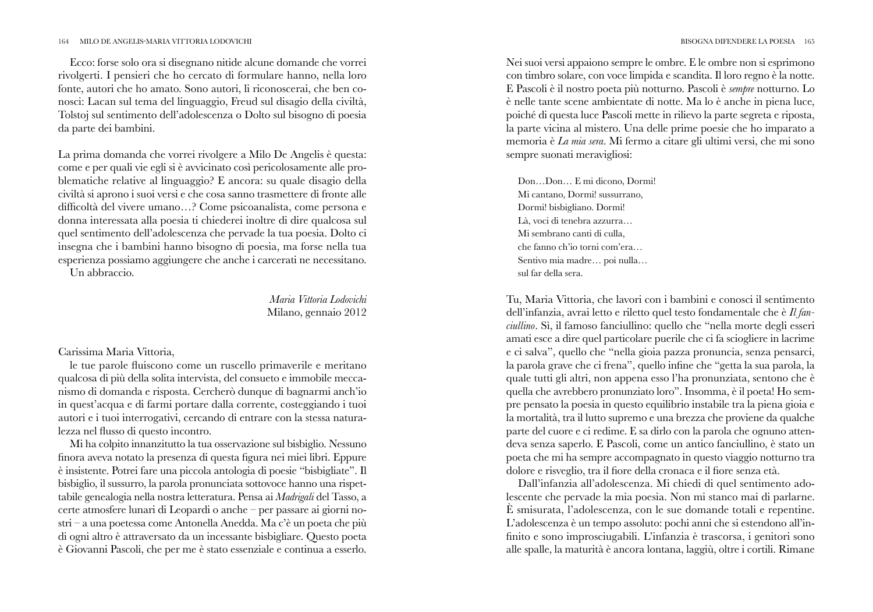## BISOGNA DIFENDERE LA POESIA 165

## MILO DE ANGELIS-MARIA VITTORIA LODOVICHI 164

Ecco: forse solo ora si disegnano nitide alcune domande che vorrei rivolgerti. I pensieri che ho cercato di formulare hanno, nella loro fonte, autori che ho amato. Sono autori, li riconoscerai, che ben conosci: Lacan sul tema del linguaggio, Freud sul disagio della civiltà, Tolstoj sul sentimento dell'adolescenza o Dolto sul bisogno di poesia da parte dei bambini.

La prima domanda che vorrei rivolgere a Milo De Angelis è questa: come e per quali vie egli si è avvicinato così pericolosamente alle problematiche relative al linguaggio? E ancora: su quale disagio della civiltà si aprono i suoi versi e che cosa sanno trasmettere di fronte alle difficoltà del vivere umano...? Come psicoanalista, come persona e donna interessata alla poesia ti chiederei inoltre di dire qualcosa sul quel sentimento dell'adolescenza che pervade la tua poesia. Dolto ci insegna che i bambini hanno bisogno di poesia, ma forse nella tua esperienza possiamo aggiungere che anche i carcerati ne necessitano. Un abbraccio.

> Maria Vittoria Lodovichi Milano, gennaio 2012

## Carissima Maria Vittoria,

le tue parole fluiscono come un ruscello primaverile e meritano qualcosa di più della solita intervista, del consueto e immobile meccanismo di domanda e risposta. Cercherò dunque di bagnarmi anch'io in quest'acqua e di farmi portare dalla corrente, costeggiando i tuoi autori e i tuoi interrogativi, cercando di entrare con la stessa naturalezza nel flusso di questo incontro.

Mi ha colpito innanzitutto la tua osservazione sul bisbiglio. Nessuno finora aveva notato la presenza di questa figura nei miei libri. Eppure è insistente. Potrei fare una piccola antologia di poesie "bisbigliate". Il bisbiglio, il sussurro, la parola pronunciata sottovoce hanno una rispettabile genealogia nella nostra letteratura. Pensa ai Madrigali del Tasso, a certe atmosfere lunari di Leopardi o anche - per passare ai giorni nostri - a una poetessa come Antonella Anedda. Ma c'è un poeta che più di ogni altro è attraversato da un incessante bisbigliare. Questo poeta è Giovanni Pascoli, che per me è stato essenziale e continua a esserlo.

Nei suoi versi appaiono sempre le ombre. E le ombre non si esprimono con timbro solare, con voce limpida e scandita. Il loro regno è la notte. E Pascoli è il nostro poeta più notturno. Pascoli è sempre notturno. Lo è nelle tante scene ambientate di notte. Ma lo è anche in piena luce, poiché di questa luce Pascoli mette in rilievo la parte segreta e riposta, la parte vicina al mistero. Una delle prime poesie che ho imparato a memoria è La mia sera. Mi fermo a citare gli ultimi versi, che mi sono sempre suonati meravigliosi:

Don...Don... E mi dicono. Dormi! Mi cantano, Dormi! sussurrano, Dormi! bisbigliano. Dormi! Là, voci di tenebra azzurra... Mi sembrano canti di culla. che fanno ch'io torni com'era... Sentivo mia madre... poi nulla... sul far della sera.

Tu, Maria Vittoria, che lavori con i bambini e conosci il sentimento dell'infanzia, avrai letto e riletto quel testo fondamentale che è  $I\!I$  fan*ciullino*. Sì, il famoso fanciullino: quello che "nella morte degli esseri amati esce a dire quel particolare puerile che ci fa sciogliere in lacrime e ci salva", quello che "nella gioia pazza pronuncia, senza pensarci, la parola grave che ci frena", quello infine che "getta la sua parola, la quale tutti gli altri, non appena esso l'ha pronunziata, sentono che è quella che avrebbero pronunziato loro". Insomma, è il poeta! Ho sempre pensato la poesia in questo equilibrio instabile tra la piena gioia e la mortalità, tra il lutto supremo e una brezza che proviene da qualche parte del cuore e ci redime. E sa dirlo con la parola che ognuno attendeva senza saperlo. E Pascoli, come un antico fanciullino, è stato un poeta che mi ha sempre accompagnato in questo viaggio notturno tra dolore e risveglio, tra il fiore della cronaca e il fiore senza età.

Dall'infanzia all'adolescenza. Mi chiedi di quel sentimento adolescente che pervade la mia poesia. Non mi stanco mai di parlarne. È smisurata, l'adolescenza, con le sue domande totali e repentine. L'adolescenza è un tempo assoluto: pochi anni che si estendono all'infinito e sono improsciugabili. L'infanzia è trascorsa, i genitori sono alle spalle, la maturità è ancora lontana, laggiù, oltre i cortili. Rimane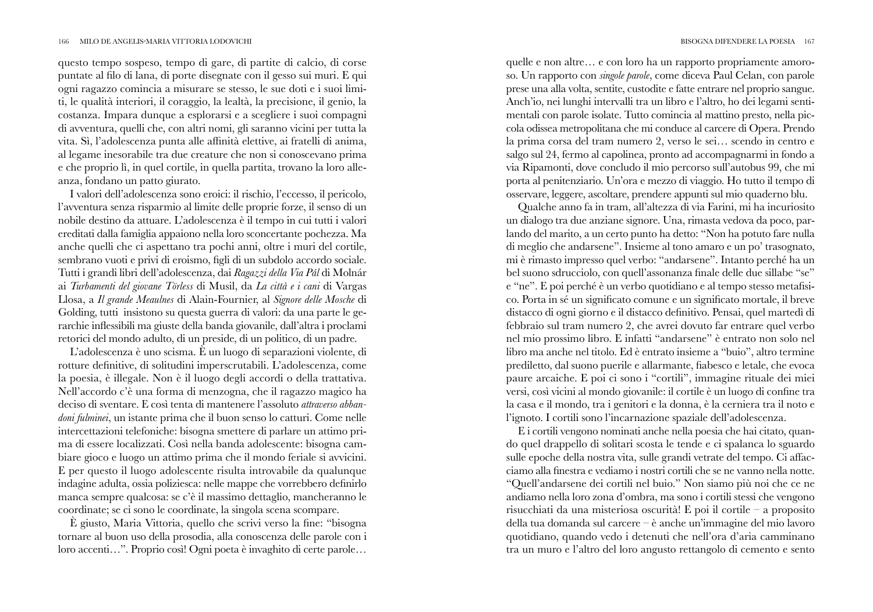questo tempo sospeso, tempo di gare, di partite di calcio, di corse puntate al filo di lana, di porte disegnate con il gesso sui muri. E qui ogni ragazzo comincia a misurare se stesso, le sue doti e i suoi limiti, le qualità interiori, il coraggio, la lealtà, la precisione, il genio, la costanza. Impara dunque a esplorarsi e a scegliere i suoi compagni di avventura, quelli che, con altri nomi, gli saranno vicini per tutta la vita. Sì, l'adolescenza punta alle affinità elettive, ai fratelli di anima, al legame inesorabile tra due creature che non si conoscevano prima e che proprio lì, in quel cortile, in quella partita, trovano la loro alleanza, fondano un patto giurato.

I valori dell'adolescenza sono eroici: il rischio, l'eccesso, il pericolo, l'avventura senza risparmio al limite delle proprie forze, il senso di un nobile destino da attuare. L'adolescenza è il tempo in cui tutti i valori ereditati dalla famiglia appaiono nella loro sconcertante pochezza. Ma anche quelli che ci aspettano tra pochi anni, oltre i muri del cortile, sembrano vuoti e privi di eroismo, figli di un subdolo accordo sociale. Tutti i grandi libri dell'adolescenza, dai Ragazzi della Via Pál di Molnár ai Turbamenti del giovane Törless di Musil, da La città e i cani di Vargas Llosa, a Il grande Meaulnes di Alain-Fournier, al Signore delle Mosche di Golding, tutti insistono su questa guerra di valori: da una parte le gerarchie inflessibili ma giuste della banda giovanile, dall'altra i proclami retorici del mondo adulto, di un preside, di un politico, di un padre.

 $L$ 'adolescenza è uno scisma. È un luogo di separazioni violente, di rotture definitive, di solitudini imperscrutabili. L'adolescenza, come la poesia, è illegale. Non è il luogo degli accordi o della trattativa. Nell'accordo c'è una forma di menzogna, che il ragazzo magico ha deciso di sventare. E così tenta di mantenere l'assoluto attraverso abban*doni fulminei*, un istante prima che il buon senso lo catturi. Come nelle intercettazioni telefoniche: bisogna smettere di parlare un attimo prima di essere localizzati. Così nella banda adolescente: bisogna cambiare gioco e luogo un attimo prima che il mondo feriale si avvicini.  $E$  per questo il luogo adolescente risulta introvabile da qualunque indagine adulta, ossia poliziesca: nelle mappe che vorrebbero definirlo manca sempre qualcosa: se c'è il massimo dettaglio, mancheranno le coordinate; se ci sono le coordinate, la singola scena scompare.

È giusto, Maria Vittoria, quello che scrivi verso la fine: "bisogna tornare al buon uso della prosodia, alla conoscenza delle parole con i loro accenti...". Proprio così! Ogni poeta è invaghito di certe parole...

quelle e non altre... e con loro ha un rapporto propriamente amoroso. Un rapporto con *singole parole*, come diceva Paul Celan, con parole prese una alla volta, sentite, custodite e fatte entrare nel proprio sangue. Anch'io, nei lunghi intervalli tra un libro e l'altro, ho dei legami sentimentali con parole isolate. Tutto comincia al mattino presto, nella piccola odissea metropolitana che mi conduce al carcere di Opera. Prendo la prima corsa del tram numero 2, verso le sei... scendo in centro e salgo sul 24, fermo al capolinea, pronto ad accompagnarmi in fondo a via Ripamonti, dove concludo il mio percorso sull'autobus 99, che mi porta al penitenziario. Un'ora e mezzo di viaggio. Ho tutto il tempo di osservare, leggere, ascoltare, prendere appunti sul mio quaderno blu.

Qualche anno fa in tram, all'altezza di via Farini, mi ha incuriosito un dialogo tra due anziane signore. Una, rimasta vedova da poco, parlando del marito, a un certo punto ha detto: "Non ha potuto fare nulla di meglio che andarsene". Insieme al tono amaro e un po' trasognato, mi è rimasto impresso quel verbo: "andarsene". Intanto perché ha un bel suono sdrucciolo, con quell'assonanza finale delle due sillabe "se" e "ne". E poi perché è un verbo quotidiano e al tempo stesso metafisi- $\overline{\text{co.}$  Porta in sé un significato comune e un significato mortale, il breve distacco di ogni giorno e il distacco definitivo. Pensai, quel martedì di febbraio sul tram numero 2, che avrei dovuto far entrare quel verbo nel mio prossimo libro. E infatti "andarsene" è entrato non solo nel libro ma anche nel titolo. Ed è entrato insieme a "buio", altro termine prediletto, dal suono puerile e allarmante, fiabesco e letale, che evoca paure arcaiche. E poi ci sono i "cortili", immagine rituale dei miei versi, così vicini al mondo giovanile: il cortile è un luogo di confine tra la casa e il mondo, tra i genitori e la donna, è la cerniera tra il noto e l'ignoto. I cortili sono l'incarnazione spaziale dell'adolescenza.

 $\overline{\text{E}}$  i cortili vengono nominati anche nella poesia che hai citato, quando quel drappello di solitari scosta le tende e ci spalanca lo sguardo sulle epoche della nostra vita, sulle grandi vetrate del tempo. Ci affacciamo alla finestra e vediamo i nostri cortili che se ne vanno nella notte. "Quell'andarsene dei cortili nel buio." Non siamo più noi che ce ne andiamo nella loro zona d'ombra, ma sono i cortili stessi che vengono risucchiati da una misteriosa oscurità! E poi il cortile – a proposito della tua domanda sul carcere – è anche un'immagine del mio lavoro quotidiano, quando vedo i detenuti che nell'ora d'aria camminano tra un muro e l'altro del loro angusto rettangolo di cemento e sento